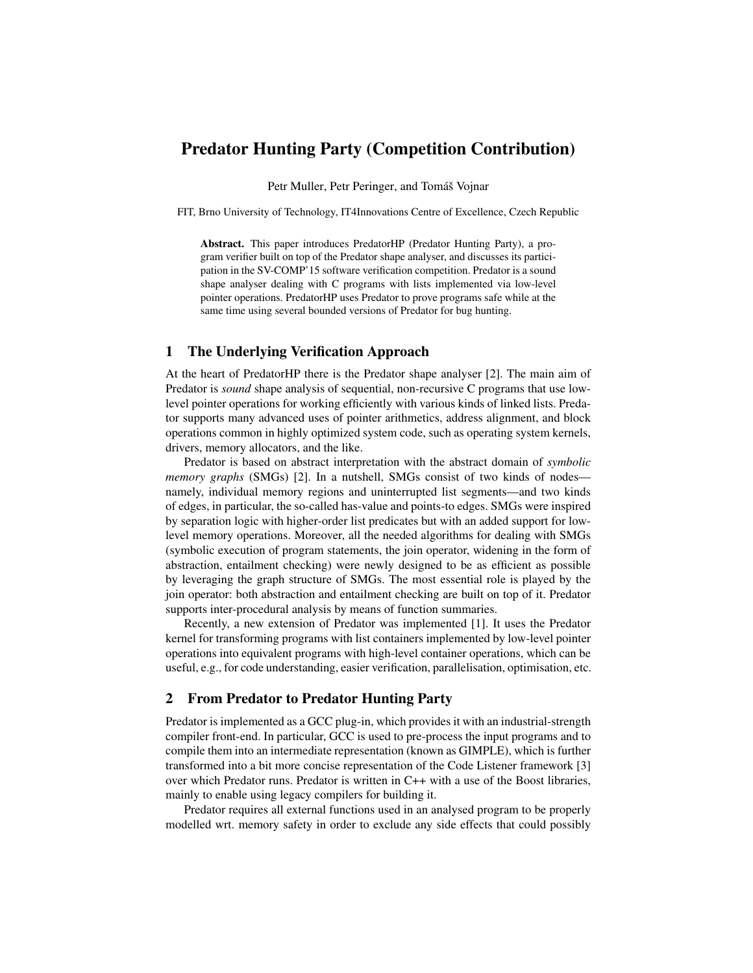# Predator Hunting Party (Competition Contribution)

Petr Muller, Petr Peringer, and Tomáš Vojnar

FIT, Brno University of Technology, IT4Innovations Centre of Excellence, Czech Republic

Abstract. This paper introduces PredatorHP (Predator Hunting Party), a program verifier built on top of the Predator shape analyser, and discusses its participation in the SV-COMP'15 software verification competition. Predator is a sound shape analyser dealing with C programs with lists implemented via low-level pointer operations. PredatorHP uses Predator to prove programs safe while at the same time using several bounded versions of Predator for bug hunting.

# 1 The Underlying Verification Approach

At the heart of PredatorHP there is the Predator shape analyser [2]. The main aim of Predator is *sound* shape analysis of sequential, non-recursive C programs that use lowlevel pointer operations for working efficiently with various kinds of linked lists. Predator supports many advanced uses of pointer arithmetics, address alignment, and block operations common in highly optimized system code, such as operating system kernels, drivers, memory allocators, and the like.

Predator is based on abstract interpretation with the abstract domain of *symbolic memory graphs* (SMGs) [2]. In a nutshell, SMGs consist of two kinds of nodes namely, individual memory regions and uninterrupted list segments—and two kinds of edges, in particular, the so-called has-value and points-to edges. SMGs were inspired by separation logic with higher-order list predicates but with an added support for lowlevel memory operations. Moreover, all the needed algorithms for dealing with SMGs (symbolic execution of program statements, the join operator, widening in the form of abstraction, entailment checking) were newly designed to be as efficient as possible by leveraging the graph structure of SMGs. The most essential role is played by the join operator: both abstraction and entailment checking are built on top of it. Predator supports inter-procedural analysis by means of function summaries.

Recently, a new extension of Predator was implemented [1]. It uses the Predator kernel for transforming programs with list containers implemented by low-level pointer operations into equivalent programs with high-level container operations, which can be useful, e.g., for code understanding, easier verification, parallelisation, optimisation, etc.

#### 2 From Predator to Predator Hunting Party

Predator is implemented as a GCC plug-in, which provides it with an industrial-strength compiler front-end. In particular, GCC is used to pre-process the input programs and to compile them into an intermediate representation (known as GIMPLE), which is further transformed into a bit more concise representation of the Code Listener framework [3] over which Predator runs. Predator is written in C++ with a use of the Boost libraries, mainly to enable using legacy compilers for building it.

Predator requires all external functions used in an analysed program to be properly modelled wrt. memory safety in order to exclude any side effects that could possibly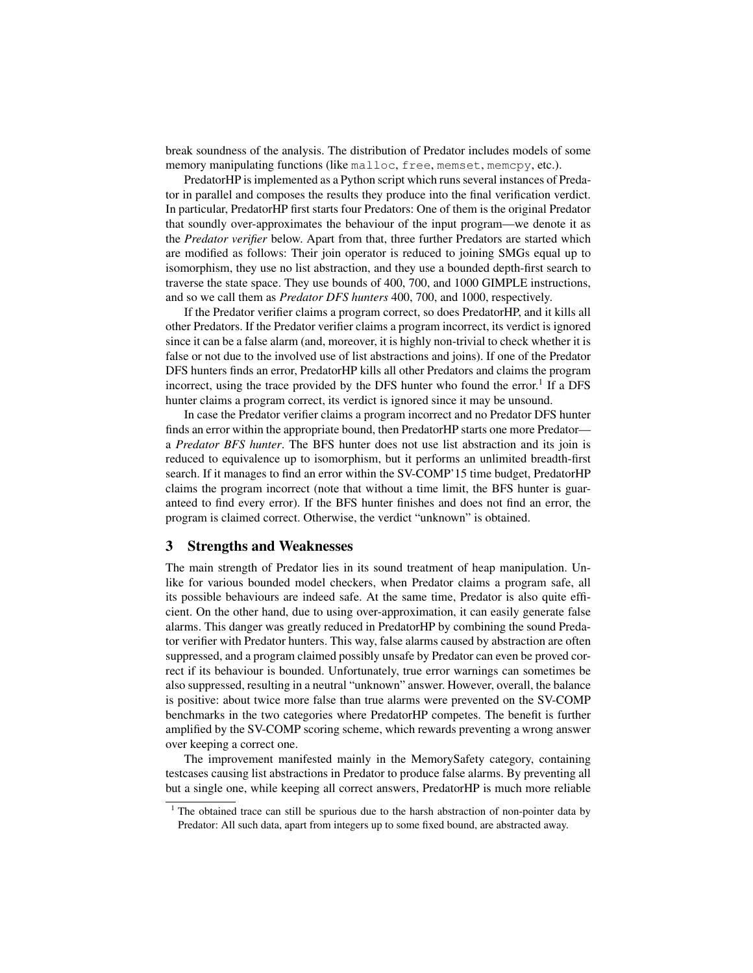break soundness of the analysis. The distribution of Predator includes models of some memory manipulating functions (like malloc, free, memset, memory, etc.).

PredatorHP is implemented as a Python script which runs several instances of Predator in parallel and composes the results they produce into the final verification verdict. In particular, PredatorHP first starts four Predators: One of them is the original Predator that soundly over-approximates the behaviour of the input program—we denote it as the *Predator verifier* below. Apart from that, three further Predators are started which are modified as follows: Their join operator is reduced to joining SMGs equal up to isomorphism, they use no list abstraction, and they use a bounded depth-first search to traverse the state space. They use bounds of 400, 700, and 1000 GIMPLE instructions, and so we call them as *Predator DFS hunters* 400, 700, and 1000, respectively.

If the Predator verifier claims a program correct, so does PredatorHP, and it kills all other Predators. If the Predator verifier claims a program incorrect, its verdict is ignored since it can be a false alarm (and, moreover, it is highly non-trivial to check whether it is false or not due to the involved use of list abstractions and joins). If one of the Predator DFS hunters finds an error, PredatorHP kills all other Predators and claims the program incorrect, using the trace provided by the DFS hunter who found the error.<sup>1</sup> If a DFS hunter claims a program correct, its verdict is ignored since it may be unsound.

In case the Predator verifier claims a program incorrect and no Predator DFS hunter finds an error within the appropriate bound, then PredatorHP starts one more Predator a *Predator BFS hunter*. The BFS hunter does not use list abstraction and its join is reduced to equivalence up to isomorphism, but it performs an unlimited breadth-first search. If it manages to find an error within the SV-COMP'15 time budget, PredatorHP claims the program incorrect (note that without a time limit, the BFS hunter is guaranteed to find every error). If the BFS hunter finishes and does not find an error, the program is claimed correct. Otherwise, the verdict "unknown" is obtained.

#### 3 Strengths and Weaknesses

The main strength of Predator lies in its sound treatment of heap manipulation. Unlike for various bounded model checkers, when Predator claims a program safe, all its possible behaviours are indeed safe. At the same time, Predator is also quite efficient. On the other hand, due to using over-approximation, it can easily generate false alarms. This danger was greatly reduced in PredatorHP by combining the sound Predator verifier with Predator hunters. This way, false alarms caused by abstraction are often suppressed, and a program claimed possibly unsafe by Predator can even be proved correct if its behaviour is bounded. Unfortunately, true error warnings can sometimes be also suppressed, resulting in a neutral "unknown" answer. However, overall, the balance is positive: about twice more false than true alarms were prevented on the SV-COMP benchmarks in the two categories where PredatorHP competes. The benefit is further amplified by the SV-COMP scoring scheme, which rewards preventing a wrong answer over keeping a correct one.

The improvement manifested mainly in the MemorySafety category, containing testcases causing list abstractions in Predator to produce false alarms. By preventing all but a single one, while keeping all correct answers, PredatorHP is much more reliable

<sup>&</sup>lt;sup>1</sup> The obtained trace can still be spurious due to the harsh abstraction of non-pointer data by Predator: All such data, apart from integers up to some fixed bound, are abstracted away.